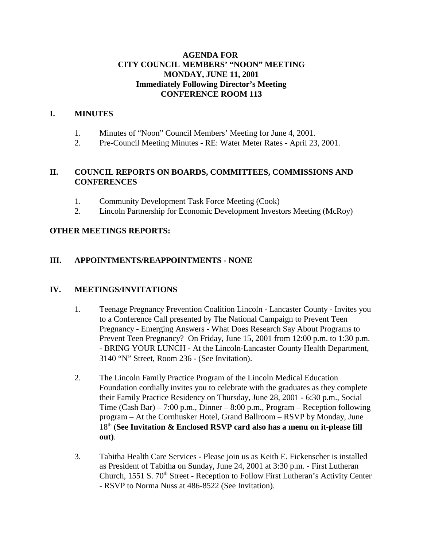### **AGENDA FOR CITY COUNCIL MEMBERS' "NOON" MEETING MONDAY, JUNE 11, 2001 Immediately Following Director's Meeting CONFERENCE ROOM 113**

### **I. MINUTES**

- 1. Minutes of "Noon" Council Members' Meeting for June 4, 2001.
- 2. Pre-Council Meeting Minutes RE: Water Meter Rates April 23, 2001.

### **II. COUNCIL REPORTS ON BOARDS, COMMITTEES, COMMISSIONS AND CONFERENCES**

- 1. Community Development Task Force Meeting (Cook)
- 2. Lincoln Partnership for Economic Development Investors Meeting (McRoy)

### **OTHER MEETINGS REPORTS:**

### **III. APPOINTMENTS/REAPPOINTMENTS - NONE**

### **IV. MEETINGS/INVITATIONS**

- 1. Teenage Pregnancy Prevention Coalition Lincoln Lancaster County Invites you to a Conference Call presented by The National Campaign to Prevent Teen Pregnancy - Emerging Answers - What Does Research Say About Programs to Prevent Teen Pregnancy? On Friday, June 15, 2001 from 12:00 p.m. to 1:30 p.m. - BRING YOUR LUNCH - At the Lincoln-Lancaster County Health Department, 3140 "N" Street, Room 236 - (See Invitation).
- 2. The Lincoln Family Practice Program of the Lincoln Medical Education Foundation cordially invites you to celebrate with the graduates as they complete their Family Practice Residency on Thursday, June 28, 2001 - 6:30 p.m., Social Time (Cash Bar) – 7:00 p.m., Dinner – 8:00 p.m., Program – Reception following program – At the Cornhusker Hotel, Grand Ballroom – RSVP by Monday, June 18th (**See Invitation & Enclosed RSVP card also has a menu on it-please fill out)**.
- 3. Tabitha Health Care Services Please join us as Keith E. Fickenscher is installed as President of Tabitha on Sunday, June 24, 2001 at 3:30 p.m. - First Lutheran Church, 1551 S. 70<sup>th</sup> Street - Reception to Follow First Lutheran's Activity Center - RSVP to Norma Nuss at 486-8522 (See Invitation).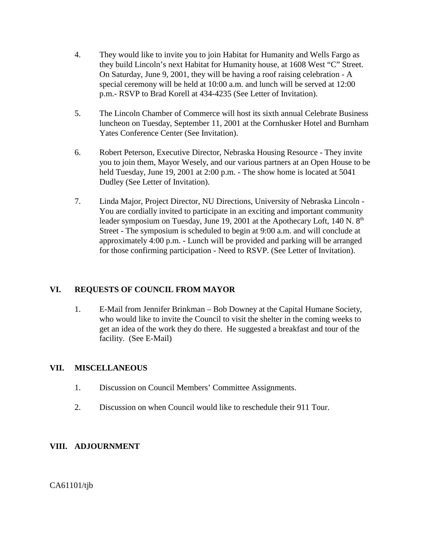- 4. They would like to invite you to join Habitat for Humanity and Wells Fargo as they build Lincoln's next Habitat for Humanity house, at 1608 West "C" Street. On Saturday, June 9, 2001, they will be having a roof raising celebration - A special ceremony will be held at 10:00 a.m. and lunch will be served at 12:00 p.m.- RSVP to Brad Korell at 434-4235 (See Letter of Invitation).
- 5. The Lincoln Chamber of Commerce will host its sixth annual Celebrate Business luncheon on Tuesday, September 11, 2001 at the Cornhusker Hotel and Burnham Yates Conference Center (See Invitation).
- 6. Robert Peterson, Executive Director, Nebraska Housing Resource They invite you to join them, Mayor Wesely, and our various partners at an Open House to be held Tuesday, June 19, 2001 at 2:00 p.m. - The show home is located at 5041 Dudley (See Letter of Invitation).
- 7. Linda Major, Project Director, NU Directions, University of Nebraska Lincoln You are cordially invited to participate in an exciting and important community leader symposium on Tuesday, June 19, 2001 at the Apothecary Loft, 140 N. 8<sup>th</sup> Street - The symposium is scheduled to begin at 9:00 a.m. and will conclude at approximately 4:00 p.m. - Lunch will be provided and parking will be arranged for those confirming participation - Need to RSVP. (See Letter of Invitation).

## **VI. REQUESTS OF COUNCIL FROM MAYOR**

1. E-Mail from Jennifer Brinkman – Bob Downey at the Capital Humane Society, who would like to invite the Council to visit the shelter in the coming weeks to get an idea of the work they do there. He suggested a breakfast and tour of the facility. (See E-Mail)

### **VII. MISCELLANEOUS**

- 1. Discussion on Council Members' Committee Assignments.
- 2. Discussion on when Council would like to reschedule their 911 Tour.

### **VIII. ADJOURNMENT**

CA61101/tjb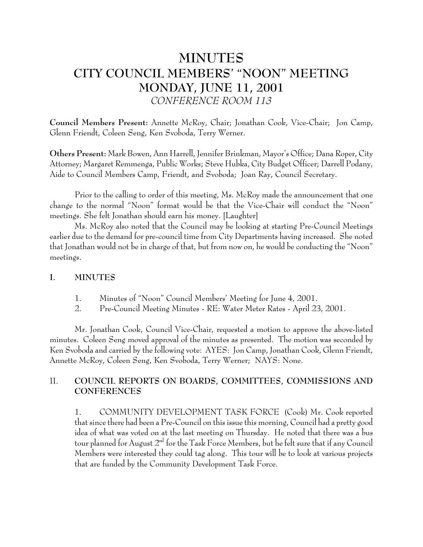# **MINUTES** CITY COUNCIL MEMBERS' "NOON" MEETING **MONDAY, JUNE 11, 2001** CONFERENCE ROOM 113

Council Members Present: Annette McRoy, Chair; Jonathan Cook, Vice-Chair; Jon Camp, Glenn Friendt, Coleen Seng, Ken Svoboda, Terry Werner.

Others Present: Mark Bowen, Ann Harrell, Jennifer Brinkman, Mayor's Office; Dana Roper, City Attorney; Margaret Remmenga, Public Works; Steve Hubka, City Budget Officer; Darrell Podany, Aide to Council Members Camp, Friendt, and Svoboda; Joan Ray, Council Secretary.

Prior to the calling to order of this meeting, Ms. McRoy made the announcement that one change to the normal "Noon" format would be that the Vice-Chair will conduct the "Noon" meetings. She felt Jonathan should earn his money. [Laughter]

Ms. McRoy also noted that the Council may be looking at starting Pre-Council Meetings earlier due to the demand for pre-council time from City Departments having increased. She noted that Jonathan would not be in charge of that, but from now on, he would be conducting the "Noon" meetings.

#### $\mathbf{I}$ . **MINUTES**

- 1. Minutes of "Noon" Council Members' Meeting for June 4, 2001.
- $\overline{2}$ . Pre-Council Meeting Minutes - RE: Water Meter Rates - April 23, 2001.

Mr. Jonathan Cook, Council Vice-Chair, requested a motion to approve the above-listed minutes. Coleen Seng moved approval of the minutes as presented. The motion was seconded by Ken Svoboda and carried by the following vote: AYES: Jon Camp, Jonathan Cook, Glenn Friendt, Annette McRoy, Coleen Seng, Ken Svoboda, Terry Werner; NAYS: None.

### $II.$ COUNCIL REPORTS ON BOARDS, COMMITTEES, COMMISSIONS AND **CONFERENCES**

COMMUNITY DEVELOPMENT TASK FORCE (Cook) Mr. Cook reported 1. that since there had been a Pre-Council on this issue this morning, Council had a pretty good idea of what was voted on at the last meeting on Thursday. He noted that there was a bus tour planned for August 2<sup>nd</sup> for the Task Force Members, but he felt sure that if any Council Members were interested they could tag along. This tour will be to look at various projects that are funded by the Community Development Task Force.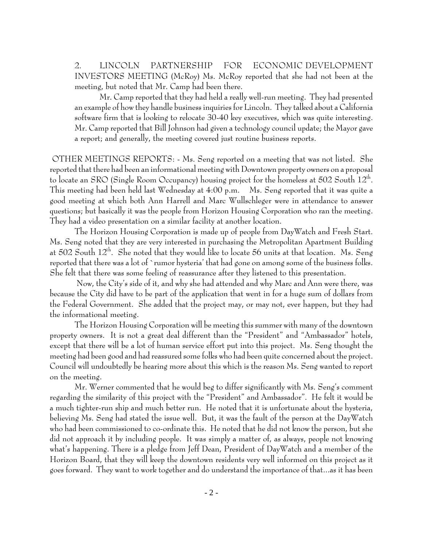2. **LINCOLN** PARTNERSHIP **FOR** ECONOMIC DEVELOPMENT INVESTORS MEETING (McRoy) Ms. McRoy reported that she had not been at the meeting, but noted that Mr. Camp had been there.

Mr. Camp reported that they had held a really well-run meeting. They had presented an example of how they handle business inquiries for Lincoln. They talked about a California software firm that is looking to relocate 30-40 key executives, which was quite interesting. Mr. Camp reported that Bill Johnson had given a technology council update; the Mayor gave a report; and generally, the meeting covered just routine business reports.

OTHER MEETINGS REPORTS: - Ms. Seng reported on a meeting that was not listed. She reported that there had been an informational meeting with Downtown property owners on a proposal to locate an SRO (Single Room Occupancy) housing project for the homeless at 502 South 12<sup>th</sup>. This meeting had been held last Wednesday at 4:00 p.m. Ms. Seng reported that it was quite a good meeting at which both Ann Harrell and Marc Wullschleger were in attendance to answer questions; but basically it was the people from Horizon Housing Corporation who ran the meeting. They had a video presentation on a similar facility at another location.

The Horizon Housing Corporation is made up of people from DayWatch and Fresh Start. Ms. Seng noted that they are very interested in purchasing the Metropolitan Apartment Building at 502 South 12<sup>th</sup>. She noted that they would like to locate 56 units at that location. Ms. Seng reported that there was a lot of `rumor hysteria' that had gone on among some of the business folks. She felt that there was some feeling of reassurance after they listened to this presentation.

Now, the City's side of it, and why she had attended and why Marc and Ann were there, was because the City did have to be part of the application that went in for a huge sum of dollars from the Federal Government. She added that the project may, or may not, ever happen, but they had the informational meeting.

The Horizon Housing Corporation will be meeting this summer with many of the downtown property owners. It is not a great deal different than the "President" and "Ambassador" hotels, except that there will be a lot of human service effort put into this project. Ms. Seng thought the meeting had been good and had reassured some folks who had been quite concerned about the project. Council will undoubtedly be hearing more about this which is the reason Ms. Seng wanted to report on the meeting.

Mr. Werner commented that he would beg to differ significantly with Ms. Seng's comment regarding the similarity of this project with the "President" and Ambassador". He felt it would be a much tighter-run ship and much better run. He noted that it is unfortunate about the hysteria, believing Ms. Seng had stated the issue well. But, it was the fault of the person at the DayWatch who had been commissioned to co-ordinate this. He noted that he did not know the person, but she did not approach it by including people. It was simply a matter of, as always, people not knowing what's happening. There is a pledge from Jeff Dean, President of DayWatch and a member of the Horizon Board, that they will keep the downtown residents very well informed on this project as it goes forward. They want to work together and do understand the importance of that...as it has been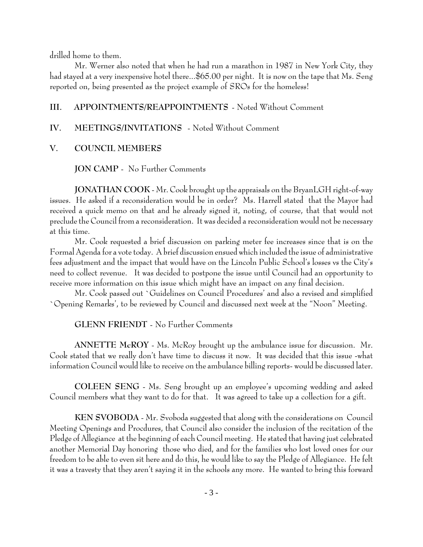drilled home to them.

Mr. Werner also noted that when he had run a marathon in 1987 in New York City, they had stayed at a very inexpensive hotel there...\$65.00 per night. It is now on the tape that Ms. Seng reported on, being presented as the project example of SROs for the homeless!

#### APPOINTMENTS/REAPPOINTMENTS - Noted Without Comment III.

#### $\mathbf{IV}$ . MEETINGS/INVITATIONS - Noted Without Comment

#### V. **COUNCIL MEMBERS**

**JON CAMP** - No Further Comments

JONATHAN COOK - Mr. Cook brought up the appraisals on the BryanLGH right-of-way issues. He asked if a reconsideration would be in order? Ms. Harrell stated that the Mayor had received a quick memo on that and he already signed it, noting, of course, that that would not preclude the Council from a reconsideration. It was decided a reconsideration would not be necessary at this time.

Mr. Cook requested a brief discussion on parking meter fee increases since that is on the Formal Agenda for a vote today. A brief discussion ensued which included the issue of administrative fees adjustment and the impact that would have on the Lincoln Public School's losses vs the City's need to collect revenue. It was decided to postpone the issue until Council had an opportunity to receive more information on this issue which might have an impact on any final decision.

Mr. Cook passed out `Guidelines on Council Procedures' and also a revised and simplified Opening Remarks', to be reviewed by Council and discussed next week at the "Noon" Meeting.

**GLENN FRIENDT** - No Further Comments

ANNETTE McROY - Ms. McRoy brought up the ambulance issue for discussion. Mr. Cook stated that we really don't have time to discuss it now. It was decided that this issue -what information Council would like to receive on the ambulance billing reports- would be discussed later.

COLEEN SENG - Ms. Seng brought up an employee's upcoming wedding and asked Council members what they want to do for that. It was agreed to take up a collection for a gift.

KEN SVOBODA - Mr. Svoboda suggested that along with the considerations on Council Meeting Openings and Procdures, that Council also consider the inclusion of the recitation of the Pledge of Allegiance at the beginning of each Council meeting. He stated that having just celebrated another Memorial Day honoring those who died, and for the families who lost loved ones for our freedom to be able to even sit here and do this, he would like to say the Pledge of Allegiance. He felt it was a travesty that they aren't saying it in the schools any more. He wanted to bring this forward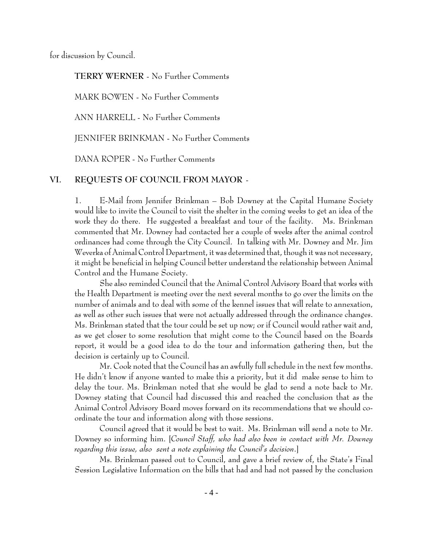for discussion by Council.

### **TERRY WERNER - No Further Comments**

MARK BOWEN - No Further Comments

ANN HARRELL - No Further Comments

**IENNIFER BRINKMAN - No Further Comments** 

DANA ROPER - No Further Comments

#### VI. REQUESTS OF COUNCIL FROM MAYOR -

E-Mail from Jennifer Brinkman – Bob Downey at the Capital Humane Society  $\mathbf{1}$ . would like to invite the Council to visit the shelter in the coming weeks to get an idea of the work they do there. He suggested a breakfast and tour of the facility. Ms. Brinkman commented that Mr. Downey had contacted her a couple of weeks after the animal control ordinances had come through the City Council. In talking with Mr. Downey and Mr. Jim Weverka of Animal Control Department, it was determined that, though it was not necessary, it might be beneficial in helping Council better understand the relationship between Animal Control and the Humane Society.

She also reminded Council that the Animal Control Advisory Board that works with the Health Department is meeting over the next several months to go over the limits on the number of animals and to deal with some of the kennel issues that will relate to annexation, as well as other such issues that were not actually addressed through the ordinance changes. Ms. Brinkman stated that the tour could be set up now; or if Council would rather wait and, as we get closer to some resolution that might come to the Council based on the Boards report, it would be a good idea to do the tour and information gathering then, but the decision is certainly up to Council.

Mr. Cook noted that the Council has an awfully full schedule in the next few months. He didn't know if anyone wanted to make this a priority, but it did make sense to him to delay the tour. Ms. Brinkman noted that she would be glad to send a note back to Mr. Downey stating that Council had discussed this and reached the conclusion that as the Animal Control Advisory Board moves forward on its recommendations that we should coordinate the tour and information along with those sessions.

Council agreed that it would be best to wait. Ms. Brinkman will send a note to Mr. Downey so informing him. [Council Staff, who had also been in contact with Mr. Downey regarding this issue, also sent a note explaining the Council's decision.]

Ms. Brinkman passed out to Council, and gave a brief review of, the State's Final Session Legislative Information on the bills that had and had not passed by the conclusion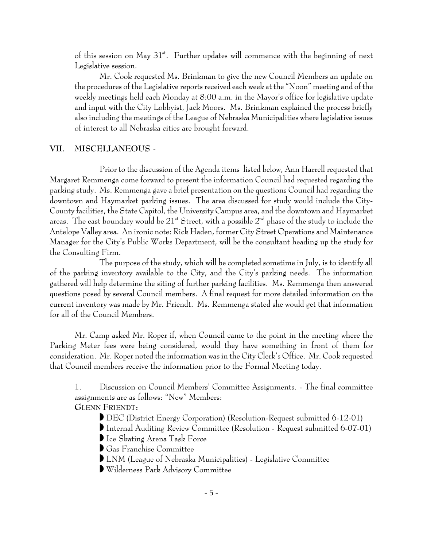of this session on May  $31^{st}$ . Further updates will commence with the beginning of next Legislative session.

Mr. Cook requested Ms. Brinkman to give the new Council Members an update on the procedures of the Legislative reports received each week at the "Noon" meeting and of the weekly meetings held each Monday at 8:00 a.m. in the Mayor's office for legislative update and input with the City Lobbyist, Jack Moors. Ms. Brinkman explained the process briefly also including the meetings of the League of Nebraska Municipalities where legislative issues of interest to all Nebraska cities are brought forward.

#### MISCELLANEOUS -VII.

Prior to the discussion of the Agenda items listed below, Ann Harrell requested that Margaret Remmenga come forward to present the information Council had requested regarding the parking study. Ms. Remmenga gave a brief presentation on the questions Council had regarding the downtown and Haymarket parking issues. The area discussed for study would include the City-County facilities, the State Capitol, the University Campus area, and the downtown and Haymarket areas. The east boundary would be  $21^*$  Street, with a possible  $2^{nd}$  phase of the study to include the Antelope Valley area. An ironic note: Rick Haden, former City Street Operations and Maintenance Manager for the City's Public Works Department, will be the consultant heading up the study for the Consulting Firm.

The purpose of the study, which will be completed sometime in July, is to identify all of the parking inventory available to the City, and the City's parking needs. The information gathered will help determine the siting of further parking facilities. Ms. Remmenga then answered questions posed by several Council members. A final request for more detailed information on the current inventory was made by Mr. Friendt. Ms. Remmenga stated she would get that information for all of the Council Members.

Mr. Camp asked Mr. Roper if, when Council came to the point in the meeting where the Parking Meter fees were being considered, would they have something in front of them for consideration. Mr. Roper noted the information was in the City Clerk's Office. Mr. Cook requested that Council members receive the information prior to the Formal Meeting today.

1. Discussion on Council Members' Committee Assignments. - The final committee assignments are as follows: "New" Members: **GLENN FRIENDT:** 

- DEC (District Energy Corporation) (Resolution-Request submitted 6-12-01)
- Internal Auditing Review Committee (Resolution Request submitted 6-07-01)
- Ice Skating Arena Task Force
- Gas Franchise Committee
- LNM (League of Nebraska Municipalities) Legislative Committee
- Wilderness Park Advisory Committee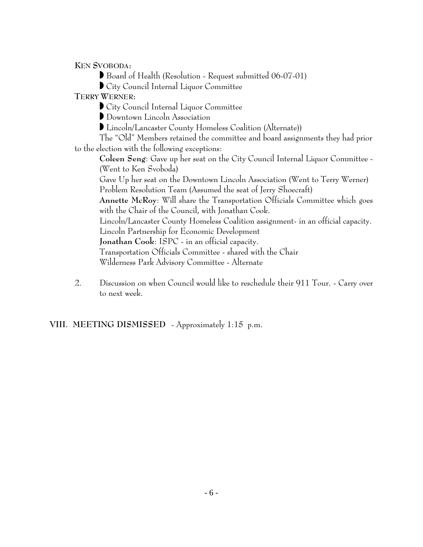**KEN SVOBODA:** 

Board of Health (Resolution - Request submitted 06-07-01)

City Council Internal Liquor Committee

TERRY WERNER:

City Council Internal Liquor Committee

Downtown Lincoln Association

Lincoln/Lancaster County Homeless Coalition (Alternate))

The "Old" Members retained the committee and board assignments they had prior to the election with the following exceptions:

Coleen Seng: Gave up her seat on the City Council Internal Liquor Committee -(Went to Ken Svoboda)

Gave Up her seat on the Downtown Lincoln Association (Went to Terry Werner) Problem Resolution Team (Assumed the seat of Jerry Shoecraft)

Annette McRoy: Will share the Transportation Officials Committee which goes with the Chair of the Council, with Jonathan Cook.

Lincoln/Lancaster County Homeless Coalition assignment- in an official capacity.

Lincoln Partnership for Economic Development

Jonathan Cook: ISPC - in an official capacity.

Transportation Officials Committee - shared with the Chair

Wilderness Park Advisory Committee - Alternate

Discussion on when Council would like to reschedule their 911 Tour. - Carry over 2. to next week.

VIII. MEETING DISMISSED - Approximately 1:15 p.m.